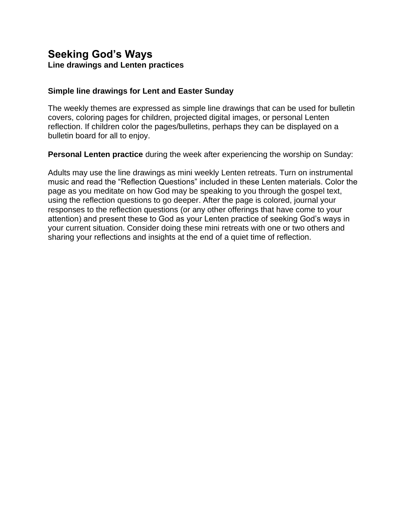# **Seeking God's Ways Line drawings and Lenten practices**

#### **Simple line drawings for Lent and Easter Sunday**

The weekly themes are expressed as simple line drawings that can be used for bulletin covers, coloring pages for children, projected digital images, or personal Lenten reflection. If children color the pages/bulletins, perhaps they can be displayed on a bulletin board for all to enjoy.

**Personal Lenten practice** during the week after experiencing the worship on Sunday:

Adults may use the line drawings as mini weekly Lenten retreats. Turn on instrumental music and read the "Reflection Questions" included in these Lenten materials. Color the page as you meditate on how God may be speaking to you through the gospel text, using the reflection questions to go deeper. After the page is colored, journal your responses to the reflection questions (or any other offerings that have come to your attention) and present these to God as your Lenten practice of seeking God's ways in your current situation. Consider doing these mini retreats with one or two others and sharing your reflections and insights at the end of a quiet time of reflection.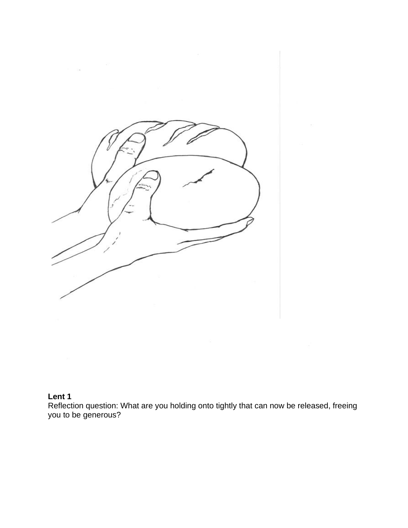

#### **Lent 1**

Reflection question: What are you holding onto tightly that can now be released, freeing you to be generous?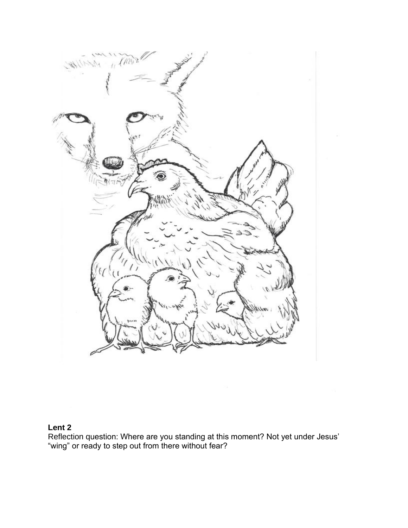

## **Lent 2**

Reflection question: Where are you standing at this moment? Not yet under Jesus' "wing" or ready to step out from there without fear?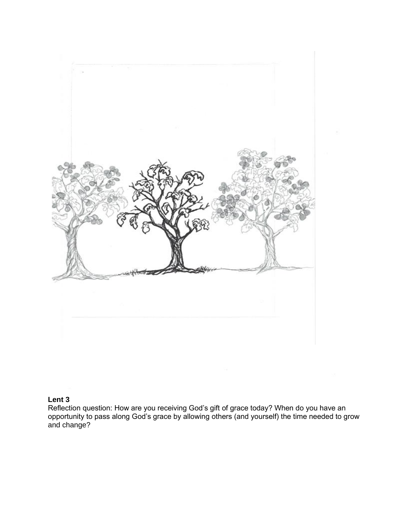

#### **Lent 3**

Reflection question: How are you receiving God's gift of grace today? When do you have an opportunity to pass along God's grace by allowing others (and yourself) the time needed to grow and change?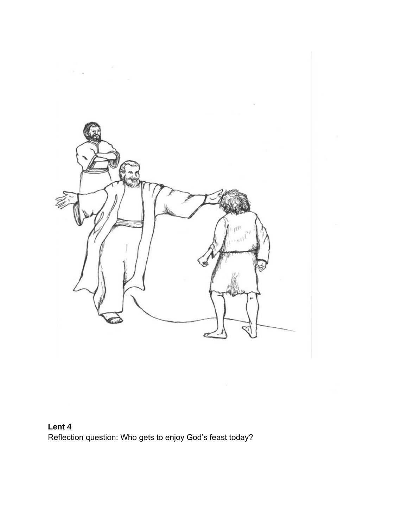

**Lent 4**  Reflection question: Who gets to enjoy God's feast today?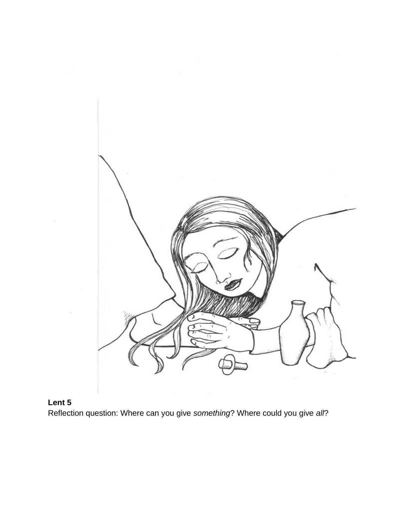

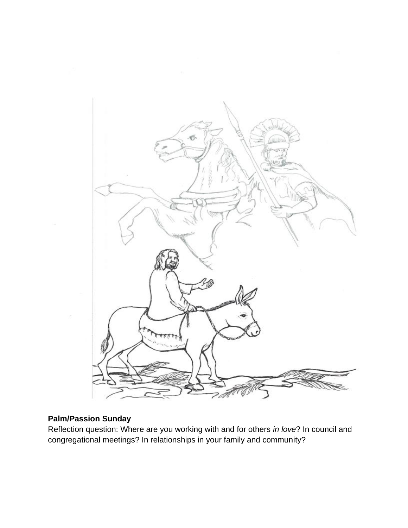

## **Palm/Passion Sunday**

Reflection question: Where are you working with and for others *in love*? In council and congregational meetings? In relationships in your family and community?